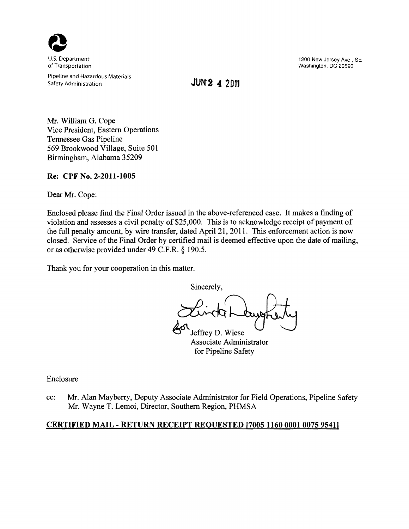

Pipeline and Hazardous Materials Safety Administration **JUN2 4 2011** 

U.S. Department U.S. Department Constanting Constanting Constanting Constanting Constanting Constanting Constanting Constanting Constanting Constanting Constanting Constanting Constanting Constanting Constanting Constantin Washington, DC 20590

Mr. William G. Cope Vice President, Eastern Operations Tennessee Gas Pipeline 569 Brookwood Village, Suite 501 Birmingham, Alabama 35209

**Re: CPF No. 2-2011-1005** 

Dear Mr. Cope:

Enclosed please find the Final Order issued in the above-referenced case. It makes a finding of violation and assesses a civil penalty of \$25,000. This is to acknowledge receipt of payment of the full penalty amount, by wire transfer, dated April 21, 2011. This enforcement action is now closed. Service of the Final Order by certified mail is deemed effective upon the date of mailing, or as otherwise provided under 49 C.F.R. § 190.5.

Thank you for your cooperation in this matter.

Sincerely, effrey D. Wiese

Associate Administrator for Pipeline Safety

Enclosure

cc: Mr. Alan Mayberry, Deputy Associate Administrator for Field Operations, Pipeline Safety Mr. Wayne T. Lemoi, Director, Southern Region, PHMSA

# **CERTIFIED MAIL - RETURN RECEIPT REQUESTED [7005 11600001 00759541]**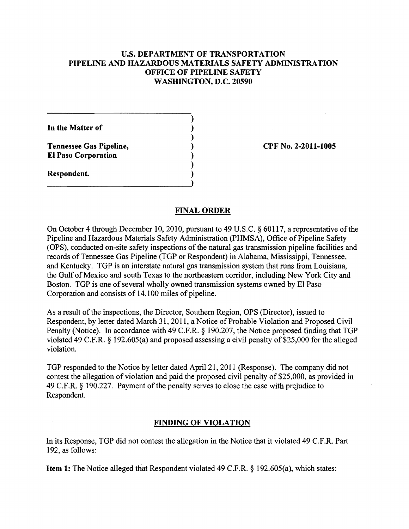## u.s. DEPARTMENT OF TRANSPORTATION PIPELINE AND HAZARDOUS MATERIALS SAFETY ADMINISTRATION OFFICE OF PIPELINE SAFETY WASHINGTON, D.C. 20590

)

)

)

)

In the Matter of

Tennessee Gas Pipeline, (a) (b) CPF No. 2-2011-1005 EI Paso Corporation )

Respondent. )

#### FINAL ORDER

On October 4 through December 10, 2010, pursuant to 49 U.S.C. § 60117, a representative of the Pipeline and Hazardous Materials Safety Administration (PHMSA), Office of Pipeline Safety (OPS), conducted on-site safety inspections of the natural gas transmission pipeline facilities and records of Tennessee Gas Pipeline (TGP or Respondent) in Alabama, Mississippi, Tennessee, and Kentucky. TGP is an interstate natural gas transmission system that runs from Louisiana, the Gulf of Mexico and south Texas to the northeastern corridor, including New York City and Boston. TGP is one of several wholly owned transmission systems owned by EI Paso Corporation and consists of 14,100 miles of pipeline.

As a result of the inspections, the Director, Southern Region, OPS (Director), issued to Respondent, by letter dated March 31, 2011, a Notice of Probable Violation and Proposed Civil Penalty (Notice). In accordance with 49 C.F.R. § 190.207, the Notice proposed finding that TGP violated 49 C.F.R. § 192.605(a) and proposed assessing a civil penalty of \$25,000 for the alleged violation.

TGP responded to the Notice by letter dated April 21, 20 11 (Response). The company did not contest the allegation of violation and paid the proposed civil penalty of \$25,000, as provided in 49 C.F.R.  $\S$  190.227. Payment of the penalty serves to close the case with prejudice to Respondent.

## FINDING OF VIOLATION

In its Response, TGP did not contest the allegation in the Notice that it violated 49 C.F.R. Part 192, as follows:

Item 1: The Notice alleged that Respondent violated 49 C.F.R. § 192.605(a), which states: